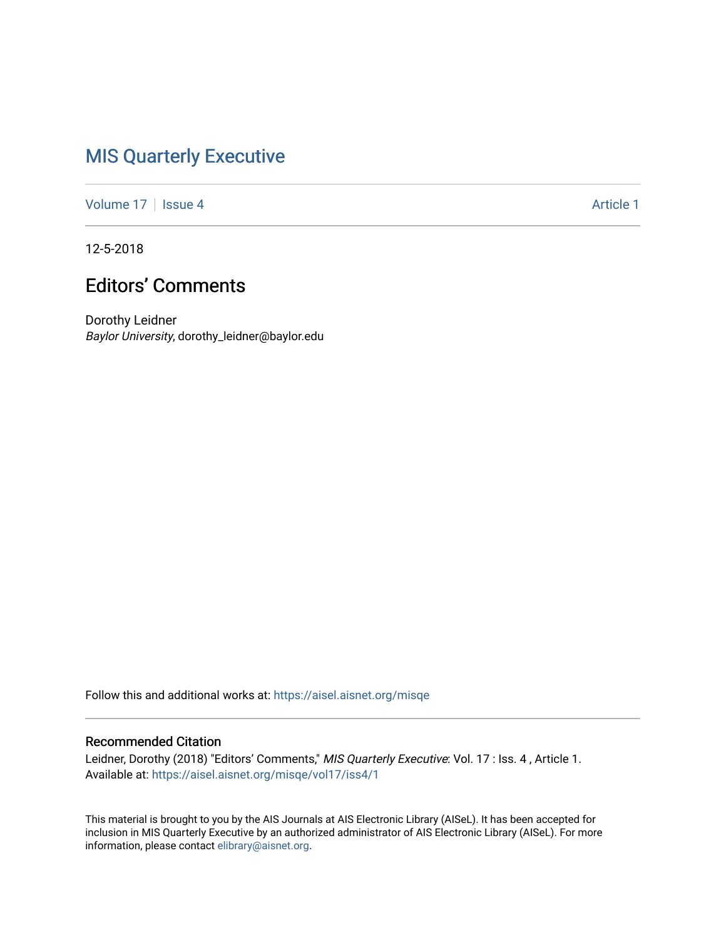## [MIS Quarterly Executive](https://aisel.aisnet.org/misqe)

[Volume 17](https://aisel.aisnet.org/misqe/vol17) | [Issue 4](https://aisel.aisnet.org/misqe/vol17/iss4) Article 1

12-5-2018

## Editors' Comments

Dorothy Leidner Baylor University, dorothy\_leidner@baylor.edu

Follow this and additional works at: [https://aisel.aisnet.org/misqe](https://aisel.aisnet.org/misqe?utm_source=aisel.aisnet.org%2Fmisqe%2Fvol17%2Fiss4%2F1&utm_medium=PDF&utm_campaign=PDFCoverPages)

### Recommended Citation

Leidner, Dorothy (2018) "Editors' Comments," MIS Quarterly Executive: Vol. 17 : Iss. 4, Article 1. Available at: [https://aisel.aisnet.org/misqe/vol17/iss4/1](https://aisel.aisnet.org/misqe/vol17/iss4/1?utm_source=aisel.aisnet.org%2Fmisqe%2Fvol17%2Fiss4%2F1&utm_medium=PDF&utm_campaign=PDFCoverPages)

This material is brought to you by the AIS Journals at AIS Electronic Library (AISeL). It has been accepted for inclusion in MIS Quarterly Executive by an authorized administrator of AIS Electronic Library (AISeL). For more information, please contact [elibrary@aisnet.org.](mailto:elibrary@aisnet.org%3E)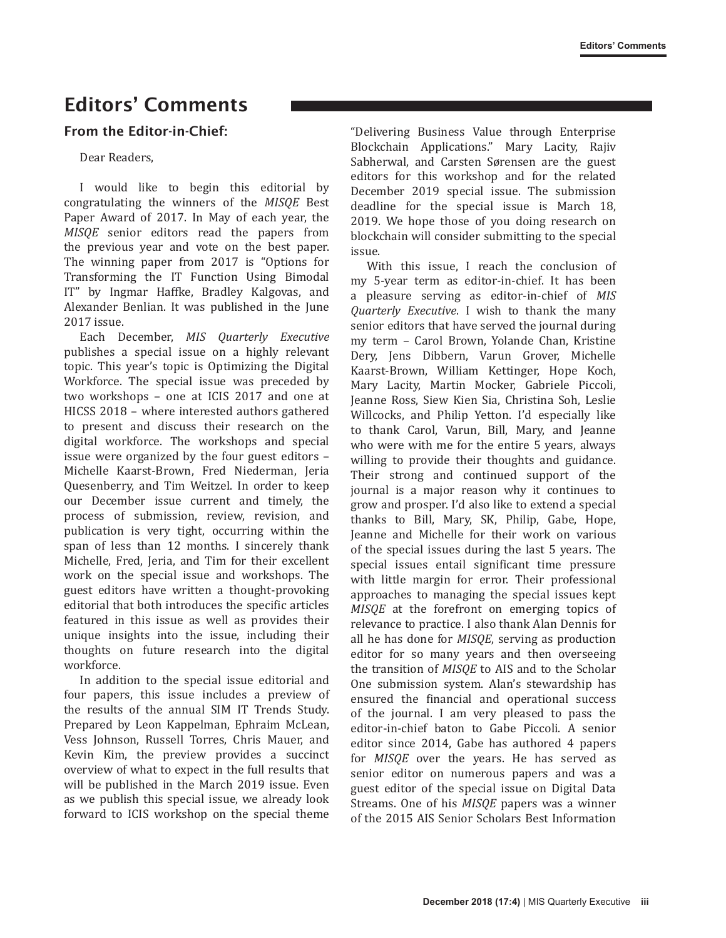# Editors' Comments

### From the Editor-in-Chief:

#### Dear Readers,

I would like to begin this editorial by congratulating the winners of the *MISQE* Best Paper Award of 2017. In May of each year, the *MISQE* senior editors read the papers from the previous year and vote on the best paper. The winning paper from 2017 is "Options for Transforming the IT Function Using Bimodal IT" by Ingmar Haffke, Bradley Kalgovas, and Alexander Benlian. It was published in the June 2017 issue.

Each December, *MIS Quarterly Executive*  publishes a special issue on a highly relevant topic. This year's topic is Optimizing the Digital Workforce. The special issue was preceded by two workshops – one at ICIS 2017 and one at HICSS 2018 – where interested authors gathered to present and discuss their research on the digital workforce. The workshops and special issue were organized by the four guest editors – Michelle Kaarst-Brown, Fred Niederman, Jeria Quesenberry, and Tim Weitzel. In order to keep our December issue current and timely, the process of submission, review, revision, and publication is very tight, occurring within the span of less than 12 months. I sincerely thank Michelle, Fred, Jeria, and Tim for their excellent work on the special issue and workshops. The guest editors have written a thought-provoking editorial that both introduces the specific articles featured in this issue as well as provides their unique insights into the issue, including their thoughts on future research into the digital workforce.

In addition to the special issue editorial and four papers, this issue includes a preview of the results of the annual SIM IT Trends Study. Prepared by Leon Kappelman, Ephraim McLean, Vess Johnson, Russell Torres, Chris Mauer, and Kevin Kim, the preview provides a succinct overview of what to expect in the full results that will be published in the March 2019 issue. Even as we publish this special issue, we already look forward to ICIS workshop on the special theme "Delivering Business Value through Enterprise Blockchain Applications." Mary Lacity, Rajiv Sabherwal, and Carsten Sørensen are the guest editors for this workshop and for the related December 2019 special issue. The submission deadline for the special issue is March 18, 2019. We hope those of you doing research on blockchain will consider submitting to the special issue.

With this issue, I reach the conclusion of my 5-year term as editor-in-chief. It has been a pleasure serving as editor-in-chief of *MIS Quarterly Executive*. I wish to thank the many senior editors that have served the journal during my term – Carol Brown, Yolande Chan, Kristine Dery, Jens Dibbern, Varun Grover, Michelle Kaarst-Brown, William Kettinger, Hope Koch, Mary Lacity, Martin Mocker, Gabriele Piccoli, Jeanne Ross, Siew Kien Sia, Christina Soh, Leslie Willcocks, and Philip Yetton. I'd especially like to thank Carol, Varun, Bill, Mary, and Jeanne who were with me for the entire 5 years, always willing to provide their thoughts and guidance. Their strong and continued support of the journal is a major reason why it continues to grow and prosper. I'd also like to extend a special thanks to Bill, Mary, SK, Philip, Gabe, Hope, Jeanne and Michelle for their work on various of the special issues during the last 5 years. The special issues entail significant time pressure with little margin for error. Their professional approaches to managing the special issues kept *MISQE* at the forefront on emerging topics of relevance to practice. I also thank Alan Dennis for all he has done for *MISQE*, serving as production editor for so many years and then overseeing the transition of *MISQE* to AIS and to the Scholar One submission system. Alan's stewardship has ensured the financial and operational success of the journal. I am very pleased to pass the editor-in-chief baton to Gabe Piccoli. A senior editor since 2014, Gabe has authored 4 papers for *MISQE* over the years. He has served as senior editor on numerous papers and was a guest editor of the special issue on Digital Data Streams. One of his *MISQE* papers was a winner of the 2015 AIS Senior Scholars Best Information